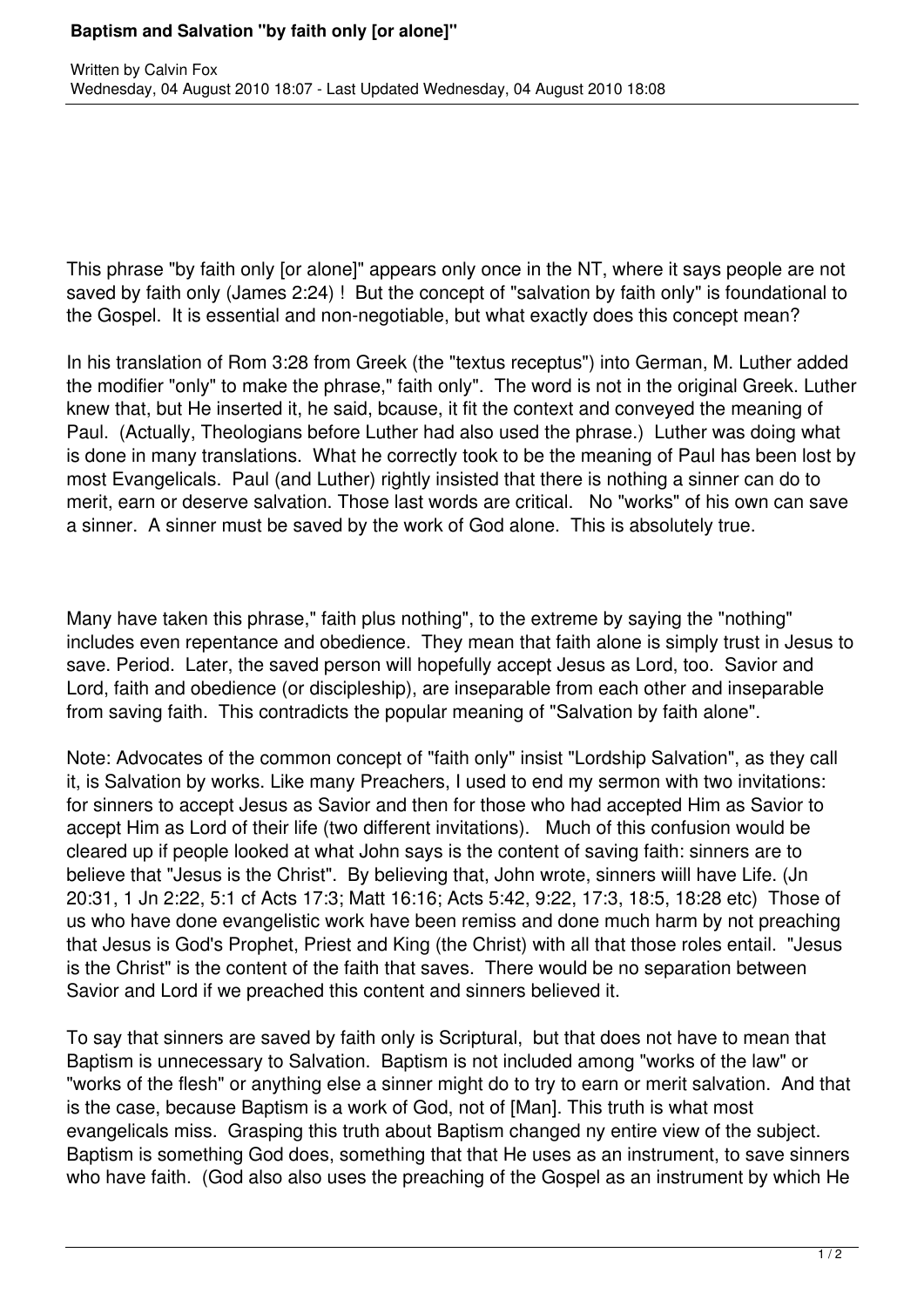## **Baptism and Salvation "by faith only [or alone]"**

This phrase "by faith only [or alone]" appears only once in the NT, where it says people are not saved by faith only (James 2:24) ! But the concept of "salvation by faith only" is foundational to the Gospel. It is essential and non-negotiable, but what exactly does this concept mean?

In his translation of Rom 3:28 from Greek (the "textus receptus") into German, M. Luther added the modifier "only" to make the phrase," faith only". The word is not in the original Greek. Luther knew that, but He inserted it, he said, bcause, it fit the context and conveyed the meaning of Paul. (Actually, Theologians before Luther had also used the phrase.) Luther was doing what is done in many translations. What he correctly took to be the meaning of Paul has been lost by most Evangelicals. Paul (and Luther) rightly insisted that there is nothing a sinner can do to merit, earn or deserve salvation. Those last words are critical. No "works" of his own can save a sinner. A sinner must be saved by the work of God alone. This is absolutely true.

Many have taken this phrase," faith plus nothing", to the extreme by saying the "nothing" includes even repentance and obedience. They mean that faith alone is simply trust in Jesus to save. Period. Later, the saved person will hopefully accept Jesus as Lord, too. Savior and Lord, faith and obedience (or discipleship), are inseparable from each other and inseparable from saving faith. This contradicts the popular meaning of "Salvation by faith alone".

Note: Advocates of the common concept of "faith only" insist "Lordship Salvation", as they call it, is Salvation by works. Like many Preachers, I used to end my sermon with two invitations: for sinners to accept Jesus as Savior and then for those who had accepted Him as Savior to accept Him as Lord of their life (two different invitations). Much of this confusion would be cleared up if people looked at what John says is the content of saving faith: sinners are to believe that "Jesus is the Christ". By believing that, John wrote, sinners wiill have Life. (Jn 20:31, 1 Jn 2:22, 5:1 cf Acts 17:3; Matt 16:16; Acts 5:42, 9:22, 17:3, 18:5, 18:28 etc) Those of us who have done evangelistic work have been remiss and done much harm by not preaching that Jesus is God's Prophet, Priest and King (the Christ) with all that those roles entail. "Jesus is the Christ" is the content of the faith that saves. There would be no separation between Savior and Lord if we preached this content and sinners believed it.

To say that sinners are saved by faith only is Scriptural, but that does not have to mean that Baptism is unnecessary to Salvation. Baptism is not included among "works of the law" or "works of the flesh" or anything else a sinner might do to try to earn or merit salvation. And that is the case, because Baptism is a work of God, not of [Man]. This truth is what most evangelicals miss. Grasping this truth about Baptism changed ny entire view of the subject. Baptism is something God does, something that that He uses as an instrument, to save sinners who have faith. (God also also uses the preaching of the Gospel as an instrument by which He